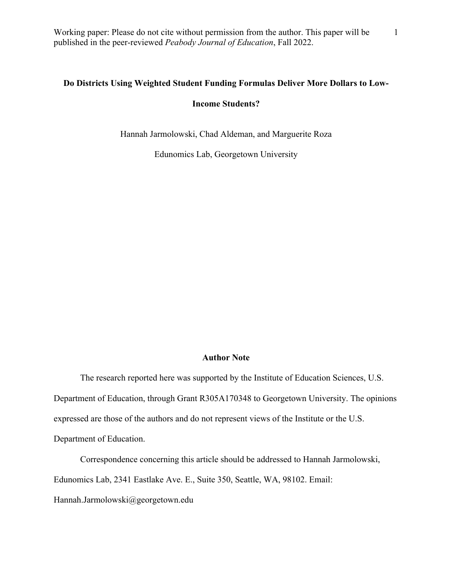## **Do Districts Using Weighted Student Funding Formulas Deliver More Dollars to Low-**

### **Income Students?**

Hannah Jarmolowski, Chad Aldeman, and Marguerite Roza

Edunomics Lab, Georgetown University

# **Author Note**

The research reported here was supported by the Institute of Education Sciences, U.S. Department of Education, through Grant R305A170348 to Georgetown University. The opinions expressed are those of the authors and do not represent views of the Institute or the U.S. Department of Education.

Correspondence concerning this article should be addressed to Hannah Jarmolowski,

Edunomics Lab, 2341 Eastlake Ave. E., Suite 350, Seattle, WA, 98102. Email:

Hannah.Jarmolowski@georgetown.edu

1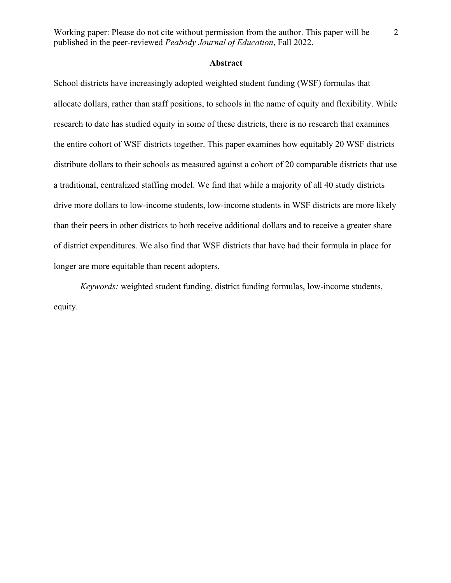### **Abstract**

School districts have increasingly adopted weighted student funding (WSF) formulas that allocate dollars, rather than staff positions, to schools in the name of equity and flexibility. While research to date has studied equity in some of these districts, there is no research that examines the entire cohort of WSF districts together. This paper examines how equitably 20 WSF districts distribute dollars to their schools as measured against a cohort of 20 comparable districts that use a traditional, centralized staffing model. We find that while a majority of all 40 study districts drive more dollars to low-income students, low-income students in WSF districts are more likely than their peers in other districts to both receive additional dollars and to receive a greater share of district expenditures. We also find that WSF districts that have had their formula in place for longer are more equitable than recent adopters.

*Keywords:* weighted student funding, district funding formulas, low-income students, equity.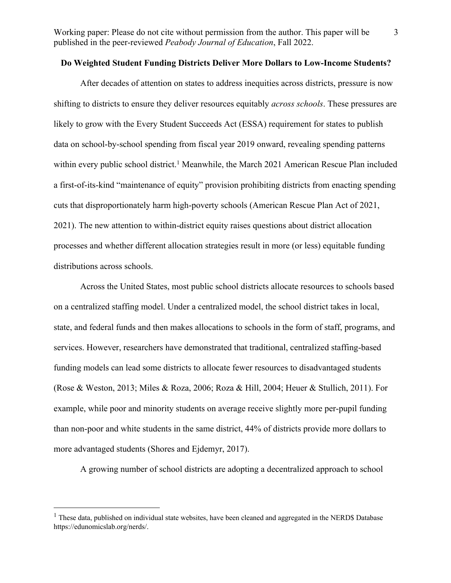## **Do Weighted Student Funding Districts Deliver More Dollars to Low-Income Students?**

After decades of attention on states to address inequities across districts, pressure is now shifting to districts to ensure they deliver resources equitably *across schools*. These pressures are likely to grow with the Every Student Succeeds Act (ESSA) requirement for states to publish data on school-by-school spending from fiscal year 2019 onward, revealing spending patterns within every public school district.<sup>1</sup> Meanwhile, the March 2021 American Rescue Plan included a first-of-its-kind "maintenance of equity" provision prohibiting districts from enacting spending cuts that disproportionately harm high-poverty schools (American Rescue Plan Act of 2021, 2021). The new attention to within-district equity raises questions about district allocation processes and whether different allocation strategies result in more (or less) equitable funding distributions across schools.

Across the United States, most public school districts allocate resources to schools based on a centralized staffing model. Under a centralized model, the school district takes in local, state, and federal funds and then makes allocations to schools in the form of staff, programs, and services. However, researchers have demonstrated that traditional, centralized staffing-based funding models can lead some districts to allocate fewer resources to disadvantaged students (Rose & Weston, 2013; Miles & Roza, 2006; Roza & Hill, 2004; Heuer & Stullich, 2011). For example, while poor and minority students on average receive slightly more per-pupil funding than non-poor and white students in the same district, 44% of districts provide more dollars to more advantaged students (Shores and Ejdemyr, 2017).

A growing number of school districts are adopting a decentralized approach to school

<sup>&</sup>lt;sup>1</sup> These data, published on individual state websites, have been cleaned and aggregated in the NERD\$ Database https://edunomicslab.org/nerds/.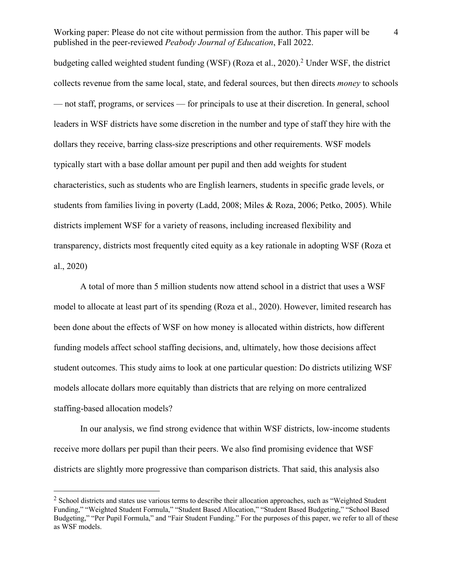budgeting called weighted student funding (WSF) (Roza et al., 2020).2 Under WSF, the district collects revenue from the same local, state, and federal sources, but then directs *money* to schools — not staff, programs, or services — for principals to use at their discretion. In general, school leaders in WSF districts have some discretion in the number and type of staff they hire with the dollars they receive, barring class-size prescriptions and other requirements. WSF models typically start with a base dollar amount per pupil and then add weights for student characteristics, such as students who are English learners, students in specific grade levels, or students from families living in poverty (Ladd, 2008; Miles & Roza, 2006; Petko, 2005). While districts implement WSF for a variety of reasons, including increased flexibility and transparency, districts most frequently cited equity as a key rationale in adopting WSF (Roza et al., 2020)

A total of more than 5 million students now attend school in a district that uses a WSF model to allocate at least part of its spending (Roza et al., 2020). However, limited research has been done about the effects of WSF on how money is allocated within districts, how different funding models affect school staffing decisions, and, ultimately, how those decisions affect student outcomes. This study aims to look at one particular question: Do districts utilizing WSF models allocate dollars more equitably than districts that are relying on more centralized staffing-based allocation models?

In our analysis, we find strong evidence that within WSF districts, low-income students receive more dollars per pupil than their peers. We also find promising evidence that WSF districts are slightly more progressive than comparison districts. That said, this analysis also

 $2$  School districts and states use various terms to describe their allocation approaches, such as "Weighted Student" Funding," "Weighted Student Formula," "Student Based Allocation," "Student Based Budgeting," "School Based Budgeting," "Per Pupil Formula," and "Fair Student Funding." For the purposes of this paper, we refer to all of these as WSF models.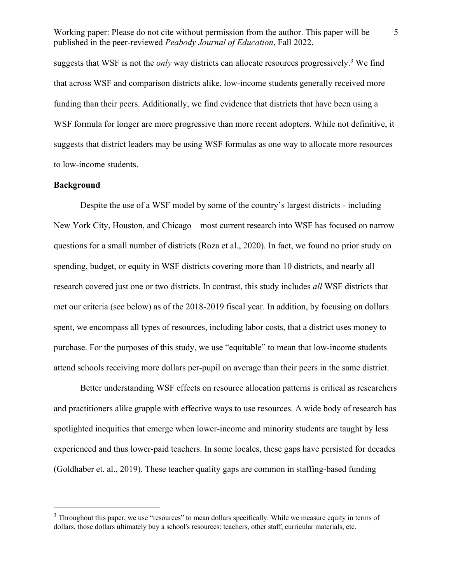suggests that WSF is not the *only* way districts can allocate resources progressively. <sup>3</sup> We find that across WSF and comparison districts alike, low-income students generally received more funding than their peers. Additionally, we find evidence that districts that have been using a WSF formula for longer are more progressive than more recent adopters. While not definitive, it suggests that district leaders may be using WSF formulas as one way to allocate more resources to low-income students.

### **Background**

Despite the use of a WSF model by some of the country's largest districts - including New York City, Houston, and Chicago – most current research into WSF has focused on narrow questions for a small number of districts (Roza et al., 2020). In fact, we found no prior study on spending, budget, or equity in WSF districts covering more than 10 districts, and nearly all research covered just one or two districts. In contrast, this study includes *all* WSF districts that met our criteria (see below) as of the 2018-2019 fiscal year. In addition, by focusing on dollars spent, we encompass all types of resources, including labor costs, that a district uses money to purchase. For the purposes of this study, we use "equitable" to mean that low-income students attend schools receiving more dollars per-pupil on average than their peers in the same district.

Better understanding WSF effects on resource allocation patterns is critical as researchers and practitioners alike grapple with effective ways to use resources. A wide body of research has spotlighted inequities that emerge when lower-income and minority students are taught by less experienced and thus lower-paid teachers. In some locales, these gaps have persisted for decades (Goldhaber et. al., 2019). These teacher quality gaps are common in staffing-based funding

<sup>&</sup>lt;sup>3</sup> Throughout this paper, we use "resources" to mean dollars specifically. While we measure equity in terms of dollars, those dollars ultimately buy a school's resources: teachers, other staff, curricular materials, etc.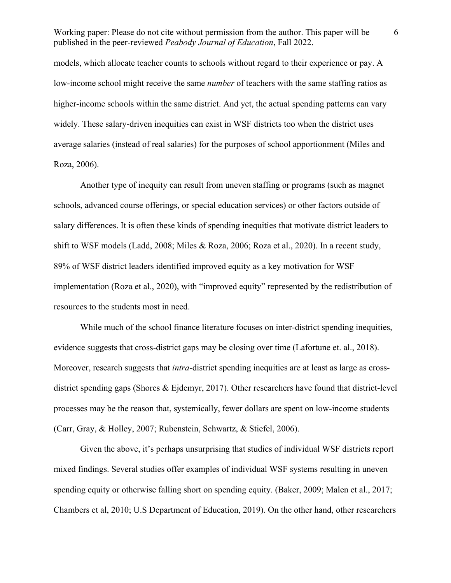models, which allocate teacher counts to schools without regard to their experience or pay. A low-income school might receive the same *number* of teachers with the same staffing ratios as higher-income schools within the same district. And yet, the actual spending patterns can vary widely. These salary-driven inequities can exist in WSF districts too when the district uses average salaries (instead of real salaries) for the purposes of school apportionment (Miles and Roza, 2006).

Another type of inequity can result from uneven staffing or programs (such as magnet schools, advanced course offerings, or special education services) or other factors outside of salary differences. It is often these kinds of spending inequities that motivate district leaders to shift to WSF models (Ladd, 2008; Miles & Roza, 2006; Roza et al., 2020). In a recent study, 89% of WSF district leaders identified improved equity as a key motivation for WSF implementation (Roza et al., 2020), with "improved equity" represented by the redistribution of resources to the students most in need.

While much of the school finance literature focuses on inter-district spending inequities, evidence suggests that cross-district gaps may be closing over time (Lafortune et. al., 2018). Moreover, research suggests that *intra*-district spending inequities are at least as large as crossdistrict spending gaps (Shores & Ejdemyr, 2017). Other researchers have found that district-level processes may be the reason that, systemically, fewer dollars are spent on low-income students (Carr, Gray, & Holley, 2007; Rubenstein, Schwartz, & Stiefel, 2006).

Given the above, it's perhaps unsurprising that studies of individual WSF districts report mixed findings. Several studies offer examples of individual WSF systems resulting in uneven spending equity or otherwise falling short on spending equity. (Baker, 2009; Malen et al., 2017; Chambers et al, 2010; U.S Department of Education, 2019). On the other hand, other researchers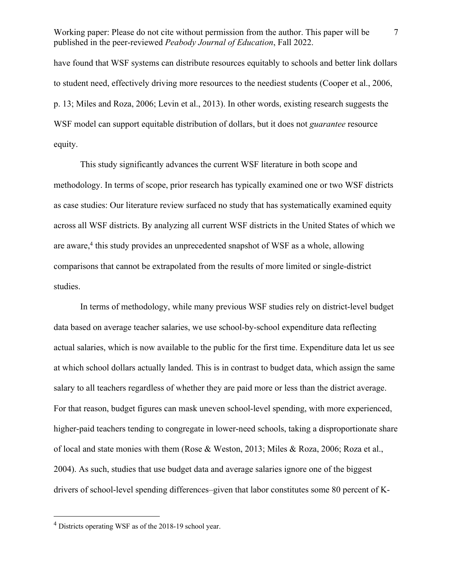have found that WSF systems can distribute resources equitably to schools and better link dollars to student need, effectively driving more resources to the neediest students (Cooper et al., 2006, p. 13; Miles and Roza, 2006; Levin et al., 2013). In other words, existing research suggests the WSF model can support equitable distribution of dollars, but it does not *guarantee* resource equity.

This study significantly advances the current WSF literature in both scope and methodology. In terms of scope, prior research has typically examined one or two WSF districts as case studies: Our literature review surfaced no study that has systematically examined equity across all WSF districts. By analyzing all current WSF districts in the United States of which we are aware, <sup>4</sup> this study provides an unprecedented snapshot of WSF as a whole, allowing comparisons that cannot be extrapolated from the results of more limited or single-district studies.

In terms of methodology, while many previous WSF studies rely on district-level budget data based on average teacher salaries, we use school-by-school expenditure data reflecting actual salaries, which is now available to the public for the first time. Expenditure data let us see at which school dollars actually landed. This is in contrast to budget data, which assign the same salary to all teachers regardless of whether they are paid more or less than the district average. For that reason, budget figures can mask uneven school-level spending, with more experienced, higher-paid teachers tending to congregate in lower-need schools, taking a disproportionate share of local and state monies with them (Rose & Weston, 2013; Miles & Roza, 2006; Roza et al., 2004). As such, studies that use budget data and average salaries ignore one of the biggest drivers of school-level spending differences–given that labor constitutes some 80 percent of K-

<sup>4</sup> Districts operating WSF as of the 2018-19 school year.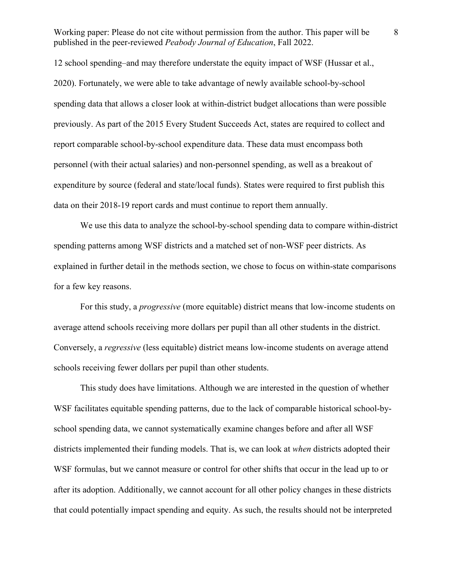12 school spending–and may therefore understate the equity impact of WSF (Hussar et al., 2020). Fortunately, we were able to take advantage of newly available school-by-school spending data that allows a closer look at within-district budget allocations than were possible previously. As part of the 2015 Every Student Succeeds Act, states are required to collect and report comparable school-by-school expenditure data. These data must encompass both personnel (with their actual salaries) and non-personnel spending, as well as a breakout of expenditure by source (federal and state/local funds). States were required to first publish this data on their 2018-19 report cards and must continue to report them annually.

We use this data to analyze the school-by-school spending data to compare within-district spending patterns among WSF districts and a matched set of non-WSF peer districts. As explained in further detail in the methods section, we chose to focus on within-state comparisons for a few key reasons.

For this study, a *progressive* (more equitable) district means that low-income students on average attend schools receiving more dollars per pupil than all other students in the district. Conversely, a *regressive* (less equitable) district means low-income students on average attend schools receiving fewer dollars per pupil than other students.

This study does have limitations. Although we are interested in the question of whether WSF facilitates equitable spending patterns, due to the lack of comparable historical school-byschool spending data, we cannot systematically examine changes before and after all WSF districts implemented their funding models. That is, we can look at *when* districts adopted their WSF formulas, but we cannot measure or control for other shifts that occur in the lead up to or after its adoption. Additionally, we cannot account for all other policy changes in these districts that could potentially impact spending and equity. As such, the results should not be interpreted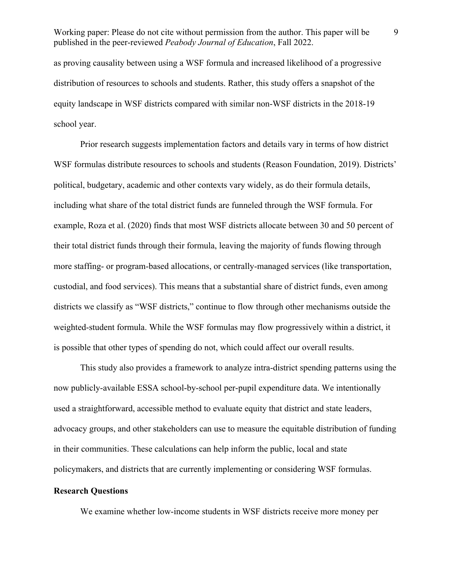as proving causality between using a WSF formula and increased likelihood of a progressive distribution of resources to schools and students. Rather, this study offers a snapshot of the equity landscape in WSF districts compared with similar non-WSF districts in the 2018-19 school year.

Prior research suggests implementation factors and details vary in terms of how district WSF formulas distribute resources to schools and students (Reason Foundation, 2019). Districts' political, budgetary, academic and other contexts vary widely, as do their formula details, including what share of the total district funds are funneled through the WSF formula. For example, Roza et al. (2020) finds that most WSF districts allocate between 30 and 50 percent of their total district funds through their formula, leaving the majority of funds flowing through more staffing- or program-based allocations, or centrally-managed services (like transportation, custodial, and food services). This means that a substantial share of district funds, even among districts we classify as "WSF districts," continue to flow through other mechanisms outside the weighted-student formula. While the WSF formulas may flow progressively within a district, it is possible that other types of spending do not, which could affect our overall results.

This study also provides a framework to analyze intra-district spending patterns using the now publicly-available ESSA school-by-school per-pupil expenditure data. We intentionally used a straightforward, accessible method to evaluate equity that district and state leaders, advocacy groups, and other stakeholders can use to measure the equitable distribution of funding in their communities. These calculations can help inform the public, local and state policymakers, and districts that are currently implementing or considering WSF formulas.

# **Research Questions**

We examine whether low-income students in WSF districts receive more money per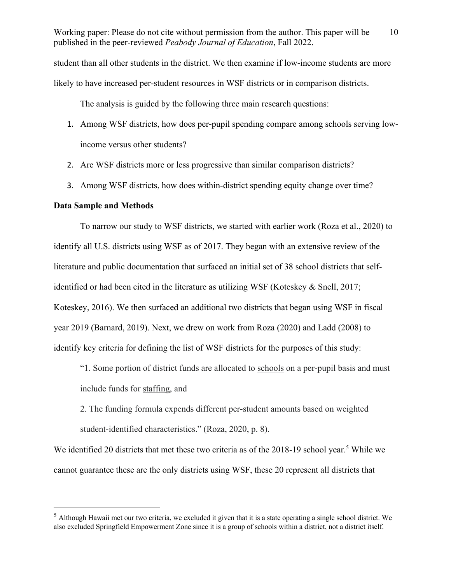student than all other students in the district. We then examine if low-income students are more likely to have increased per-student resources in WSF districts or in comparison districts.

The analysis is guided by the following three main research questions:

- 1. Among WSF districts, how does per-pupil spending compare among schools serving lowincome versus other students?
- 2. Are WSF districts more or less progressive than similar comparison districts?
- 3. Among WSF districts, how does within-district spending equity change over time?

### **Data Sample and Methods**

To narrow our study to WSF districts, we started with earlier work (Roza et al., 2020) to identify all U.S. districts using WSF as of 2017. They began with an extensive review of the literature and public documentation that surfaced an initial set of 38 school districts that selfidentified or had been cited in the literature as utilizing WSF (Koteskey & Snell, 2017; Koteskey, 2016). We then surfaced an additional two districts that began using WSF in fiscal year 2019 (Barnard, 2019). Next, we drew on work from Roza (2020) and Ladd (2008) to identify key criteria for defining the list of WSF districts for the purposes of this study:

"1. Some portion of district funds are allocated to schools on a per-pupil basis and must include funds for staffing, and

2. The funding formula expends different per-student amounts based on weighted student-identified characteristics." (Roza, 2020, p. 8).

We identified 20 districts that met these two criteria as of the 2018-19 school year.<sup>5</sup> While we cannot guarantee these are the only districts using WSF, these 20 represent all districts that

<sup>5</sup> Although Hawaii met our two criteria, we excluded it given that it is a state operating a single school district. We also excluded Springfield Empowerment Zone since it is a group of schools within a district, not a district itself.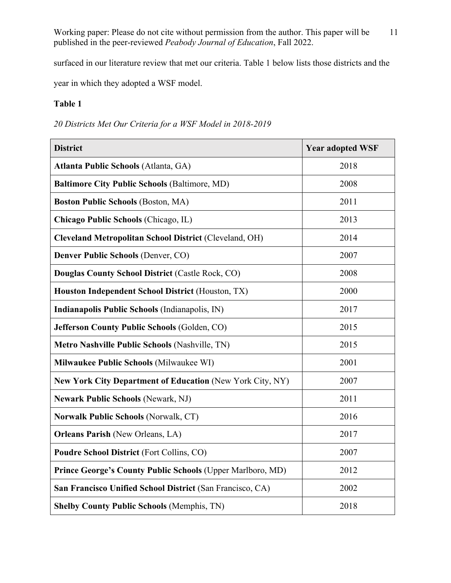surfaced in our literature review that met our criteria. Table 1 below lists those districts and the

year in which they adopted a WSF model.

# **Table 1**

*20 Districts Met Our Criteria for a WSF Model in 2018-2019* 

| <b>District</b>                                                  | <b>Year adopted WSF</b> |
|------------------------------------------------------------------|-------------------------|
| <b>Atlanta Public Schools (Atlanta, GA)</b>                      | 2018                    |
| <b>Baltimore City Public Schools (Baltimore, MD)</b>             | 2008                    |
| <b>Boston Public Schools (Boston, MA)</b>                        | 2011                    |
| Chicago Public Schools (Chicago, IL)                             | 2013                    |
| <b>Cleveland Metropolitan School District (Cleveland, OH)</b>    | 2014                    |
| Denver Public Schools (Denver, CO)                               | 2007                    |
| Douglas County School District (Castle Rock, CO)                 | 2008                    |
| Houston Independent School District (Houston, TX)                | 2000                    |
| Indianapolis Public Schools (Indianapolis, IN)                   | 2017                    |
| Jefferson County Public Schools (Golden, CO)                     | 2015                    |
| Metro Nashville Public Schools (Nashville, TN)                   | 2015                    |
| Milwaukee Public Schools (Milwaukee WI)                          | 2001                    |
| <b>New York City Department of Education (New York City, NY)</b> | 2007                    |
| <b>Newark Public Schools (Newark, NJ)</b>                        | 2011                    |
| <b>Norwalk Public Schools (Norwalk, CT)</b>                      | 2016                    |
| <b>Orleans Parish (New Orleans, LA)</b>                          | 2017                    |
| Poudre School District (Fort Collins, CO)                        | 2007                    |
| Prince George's County Public Schools (Upper Marlboro, MD)       | 2012                    |
| San Francisco Unified School District (San Francisco, CA)        | 2002                    |
| <b>Shelby County Public Schools (Memphis, TN)</b>                | 2018                    |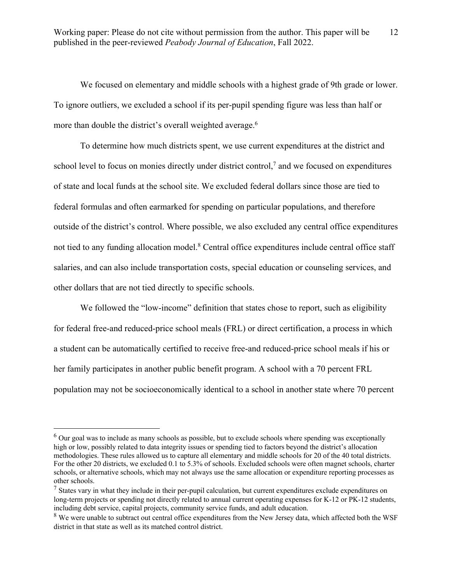We focused on elementary and middle schools with a highest grade of 9th grade or lower. To ignore outliers, we excluded a school if its per-pupil spending figure was less than half or more than double the district's overall weighted average.<sup>6</sup>

To determine how much districts spent, we use current expenditures at the district and school level to focus on monies directly under district control, $<sup>7</sup>$  and we focused on expenditures</sup> of state and local funds at the school site. We excluded federal dollars since those are tied to federal formulas and often earmarked for spending on particular populations, and therefore outside of the district's control. Where possible, we also excluded any central office expenditures not tied to any funding allocation model.<sup>8</sup> Central office expenditures include central office staff salaries, and can also include transportation costs, special education or counseling services, and other dollars that are not tied directly to specific schools.

We followed the "low-income" definition that states chose to report, such as eligibility for federal free-and reduced-price school meals (FRL) or direct certification, a process in which a student can be automatically certified to receive free-and reduced-price school meals if his or her family participates in another public benefit program. A school with a 70 percent FRL population may not be socioeconomically identical to a school in another state where 70 percent

 $6$  Our goal was to include as many schools as possible, but to exclude schools where spending was exceptionally high or low, possibly related to data integrity issues or spending tied to factors beyond the district's allocation methodologies. These rules allowed us to capture all elementary and middle schools for 20 of the 40 total districts. For the other 20 districts, we excluded 0.1 to 5.3% of schools. Excluded schools were often magnet schools, charter schools, or alternative schools, which may not always use the same allocation or expenditure reporting processes as other schools.

 $<sup>7</sup>$  States vary in what they include in their per-pupil calculation, but current expenditures exclude expenditures on</sup> long-term projects or spending not directly related to annual current operating expenses for K-12 or PK-12 students, including debt service, capital projects, community service funds, and adult education.

<sup>&</sup>lt;sup>8</sup> We were unable to subtract out central office expenditures from the New Jersey data, which affected both the WSF district in that state as well as its matched control district.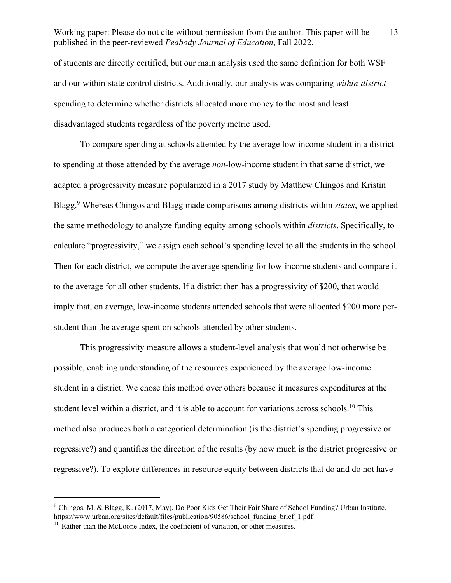of students are directly certified, but our main analysis used the same definition for both WSF and our within-state control districts. Additionally, our analysis was comparing *within-district*  spending to determine whether districts allocated more money to the most and least disadvantaged students regardless of the poverty metric used.

To compare spending at schools attended by the average low-income student in a district to spending at those attended by the average *non*-low-income student in that same district, we adapted a progressivity measure popularized in a 2017 study by Matthew Chingos and Kristin Blagg.9 Whereas Chingos and Blagg made comparisons among districts within *states*, we applied the same methodology to analyze funding equity among schools within *districts*. Specifically, to calculate "progressivity," we assign each school's spending level to all the students in the school. Then for each district, we compute the average spending for low-income students and compare it to the average for all other students. If a district then has a progressivity of \$200, that would imply that, on average, low-income students attended schools that were allocated \$200 more perstudent than the average spent on schools attended by other students.

This progressivity measure allows a student-level analysis that would not otherwise be possible, enabling understanding of the resources experienced by the average low-income student in a district. We chose this method over others because it measures expenditures at the student level within a district, and it is able to account for variations across schools.<sup>10</sup> This method also produces both a categorical determination (is the district's spending progressive or regressive?) and quantifies the direction of the results (by how much is the district progressive or regressive?). To explore differences in resource equity between districts that do and do not have

<sup>9</sup> Chingos, M. & Blagg, K. (2017, May). Do Poor Kids Get Their Fair Share of School Funding? Urban Institute. https://www.urban.org/sites/default/files/publication/90586/school\_funding\_brief\_1.pdf

 $10$  Rather than the McLoone Index, the coefficient of variation, or other measures.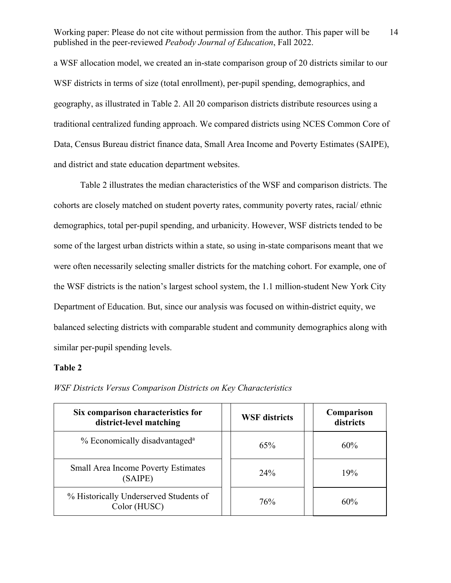14

a WSF allocation model, we created an in-state comparison group of 20 districts similar to our WSF districts in terms of size (total enrollment), per-pupil spending, demographics, and geography, as illustrated in Table 2. All 20 comparison districts distribute resources using a traditional centralized funding approach. We compared districts using NCES Common Core of Data, Census Bureau district finance data, Small Area Income and Poverty Estimates (SAIPE), and district and state education department websites.

Table 2 illustrates the median characteristics of the WSF and comparison districts. The cohorts are closely matched on student poverty rates, community poverty rates, racial/ ethnic demographics, total per-pupil spending, and urbanicity. However, WSF districts tended to be some of the largest urban districts within a state, so using in-state comparisons meant that we were often necessarily selecting smaller districts for the matching cohort. For example, one of the WSF districts is the nation's largest school system, the 1.1 million-student New York City Department of Education. But, since our analysis was focused on within-district equity, we balanced selecting districts with comparable student and community demographics along with similar per-pupil spending levels.

### **Table 2**

| Six comparison characteristics for<br>district-level matching | <b>WSF</b> districts | Comparison<br>districts |
|---------------------------------------------------------------|----------------------|-------------------------|
| % Economically disadvantaged <sup>a</sup>                     | 65%                  | 60%                     |
| <b>Small Area Income Poverty Estimates</b><br>(SAIPE)         | 24%                  | 19%                     |
| % Historically Underserved Students of<br>Color (HUSC)        | 76%                  | 60%                     |

*WSF Districts Versus Comparison Districts on Key Characteristics*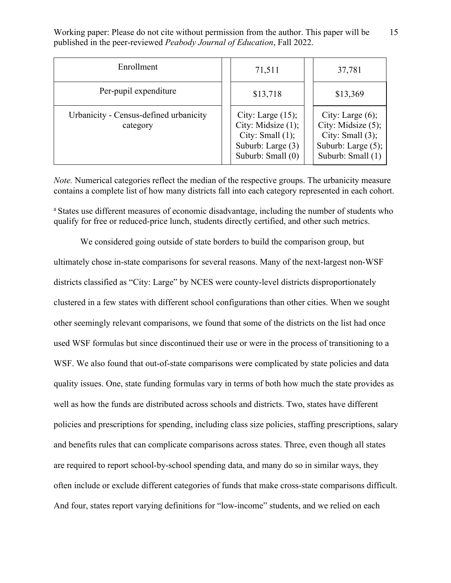| Enrollment                                         | 71,511                                                                                                         | 37,781                                                                                                            |
|----------------------------------------------------|----------------------------------------------------------------------------------------------------------------|-------------------------------------------------------------------------------------------------------------------|
| Per-pupil expenditure                              | \$13,718                                                                                                       | \$13,369                                                                                                          |
| Urbanicity - Census-defined urbanicity<br>category | City: Large $(15)$ ;<br>City: Midsize $(1)$ ;<br>City: Small $(1)$ ;<br>Suburb: Large (3)<br>Suburb: Small (0) | City: Large $(6)$ ;<br>City: Midsize $(5)$ ;<br>City: Small $(3)$ ;<br>Suburb: Large $(5)$ ;<br>Suburb: Small (1) |

*Note.* Numerical categories reflect the median of the respective groups. The urbanicity measure contains a complete list of how many districts fall into each category represented in each cohort.

<sup>a</sup> States use different measures of economic disadvantage, including the number of students who qualify for free or reduced-price lunch, students directly certified, and other such metrics.

We considered going outside of state borders to build the comparison group, but ultimately chose in-state comparisons for several reasons. Many of the next-largest non-WSF districts classified as "City: Large" by NCES were county-level districts disproportionately clustered in a few states with different school configurations than other cities. When we sought other seemingly relevant comparisons, we found that some of the districts on the list had once used WSF formulas but since discontinued their use or were in the process of transitioning to a WSF. We also found that out-of-state comparisons were complicated by state policies and data quality issues. One, state funding formulas vary in terms of both how much the state provides as well as how the funds are distributed across schools and districts. Two, states have different policies and prescriptions for spending, including class size policies, staffing prescriptions, salary and benefits rules that can complicate comparisons across states. Three, even though all states are required to report school-by-school spending data, and many do so in similar ways, they often include or exclude different categories of funds that make cross-state comparisons difficult. And four, states report varying definitions for "low-income" students, and we relied on each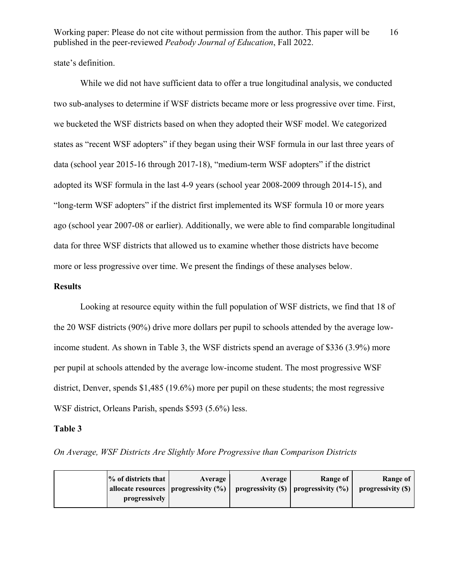state's definition.

While we did not have sufficient data to offer a true longitudinal analysis, we conducted two sub-analyses to determine if WSF districts became more or less progressive over time. First, we bucketed the WSF districts based on when they adopted their WSF model. We categorized states as "recent WSF adopters" if they began using their WSF formula in our last three years of data (school year 2015-16 through 2017-18), "medium-term WSF adopters" if the district adopted its WSF formula in the last 4-9 years (school year 2008-2009 through 2014-15), and "long-term WSF adopters" if the district first implemented its WSF formula 10 or more years ago (school year 2007-08 or earlier). Additionally, we were able to find comparable longitudinal data for three WSF districts that allowed us to examine whether those districts have become more or less progressive over time. We present the findings of these analyses below.

### **Results**

Looking at resource equity within the full population of WSF districts, we find that 18 of the 20 WSF districts (90%) drive more dollars per pupil to schools attended by the average lowincome student. As shown in Table 3, the WSF districts spend an average of \$336 (3.9%) more per pupil at schools attended by the average low-income student. The most progressive WSF district, Denver, spends \$1,485 (19.6%) more per pupil on these students; the most regressive WSF district, Orleans Parish, spends \$593 (5.6%) less.

### **Table 3**

*On Average, WSF Districts Are Slightly More Progressive than Comparison Districts* 

| $%$ of districts that | Average                                | Average | Range of                                    | Range of           |
|-----------------------|----------------------------------------|---------|---------------------------------------------|--------------------|
|                       | allocate resources   progressivity (%) |         | progressivity $(\$)$   progressivity $(\%)$ | progressivity (\$) |
| progressively         |                                        |         |                                             |                    |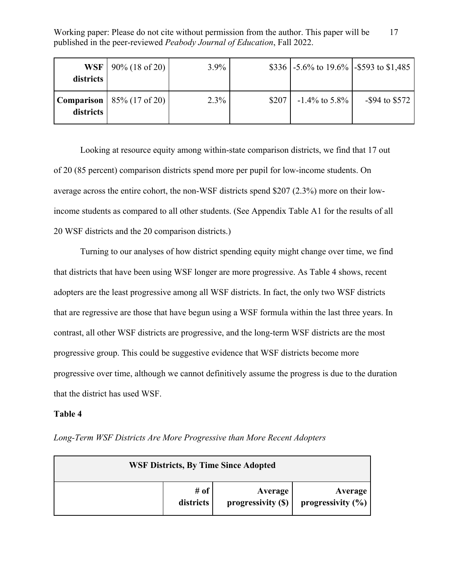| districts | WSF   $90\%$ (18 of 20)               | $3.9\%$ |       | \$336 $\vert$ -5.6% to 19.6% $\vert$ -\$593 to \$1,485 |                   |
|-----------|---------------------------------------|---------|-------|--------------------------------------------------------|-------------------|
| districts | <b>Comparison</b>   $85\%$ (17 of 20) | 2.3%    | \$207 | $-1.4\%$ to 5.8%                                       | $-$ \$94 to \$572 |

Looking at resource equity among within-state comparison districts, we find that 17 out of 20 (85 percent) comparison districts spend more per pupil for low-income students. On average across the entire cohort, the non-WSF districts spend \$207 (2.3%) more on their lowincome students as compared to all other students. (See Appendix Table A1 for the results of all 20 WSF districts and the 20 comparison districts.)

Turning to our analyses of how district spending equity might change over time, we find that districts that have been using WSF longer are more progressive. As Table 4 shows, recent adopters are the least progressive among all WSF districts. In fact, the only two WSF districts that are regressive are those that have begun using a WSF formula within the last three years. In contrast, all other WSF districts are progressive, and the long-term WSF districts are the most progressive group. This could be suggestive evidence that WSF districts become more progressive over time, although we cannot definitively assume the progress is due to the duration that the district has used WSF.

## **Table 4**

|  |  |  |  |  |  | Long-Term WSF Districts Are More Progressive than More Recent Adopters |
|--|--|--|--|--|--|------------------------------------------------------------------------|
|--|--|--|--|--|--|------------------------------------------------------------------------|

| <b>WSF Districts, By Time Since Adopted</b> |           |                    |                      |  |
|---------------------------------------------|-----------|--------------------|----------------------|--|
|                                             | # of $ $  | Average            | Average              |  |
|                                             | districts | progressivity (\$) | progressivity $(\%)$ |  |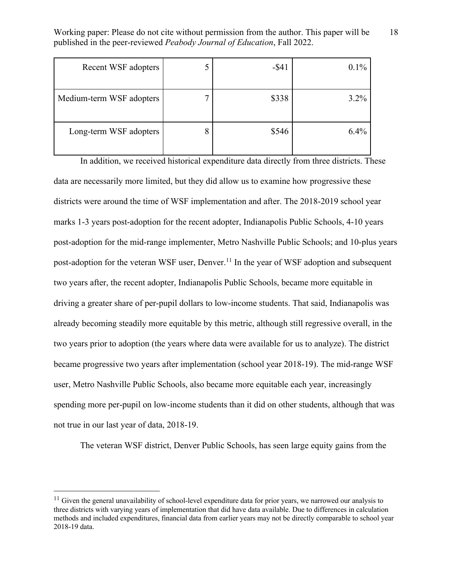18

| Recent WSF adopters      |   | $-$ \$41 | 0.1%    |
|--------------------------|---|----------|---------|
| Medium-term WSF adopters |   | \$338    | $3.2\%$ |
| Long-term WSF adopters   | Ω | \$546    | 6.4%    |

In addition, we received historical expenditure data directly from three districts. These data are necessarily more limited, but they did allow us to examine how progressive these districts were around the time of WSF implementation and after. The 2018-2019 school year marks 1-3 years post-adoption for the recent adopter, Indianapolis Public Schools, 4-10 years post-adoption for the mid-range implementer, Metro Nashville Public Schools; and 10-plus years post-adoption for the veteran WSF user, Denver.<sup>11</sup> In the year of WSF adoption and subsequent two years after, the recent adopter, Indianapolis Public Schools, became more equitable in driving a greater share of per-pupil dollars to low-income students. That said, Indianapolis was already becoming steadily more equitable by this metric, although still regressive overall, in the two years prior to adoption (the years where data were available for us to analyze). The district became progressive two years after implementation (school year 2018-19). The mid-range WSF user, Metro Nashville Public Schools, also became more equitable each year, increasingly spending more per-pupil on low-income students than it did on other students, although that was not true in our last year of data, 2018-19.

The veteran WSF district, Denver Public Schools, has seen large equity gains from the

 $11$  Given the general unavailability of school-level expenditure data for prior years, we narrowed our analysis to three districts with varying years of implementation that did have data available. Due to differences in calculation methods and included expenditures, financial data from earlier years may not be directly comparable to school year 2018-19 data.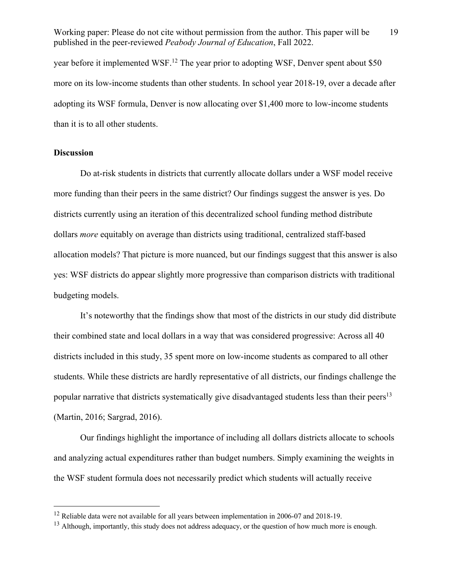year before it implemented WSF.<sup>12</sup> The year prior to adopting WSF, Denver spent about \$50 more on its low-income students than other students. In school year 2018-19, over a decade after adopting its WSF formula, Denver is now allocating over \$1,400 more to low-income students than it is to all other students.

## **Discussion**

Do at-risk students in districts that currently allocate dollars under a WSF model receive more funding than their peers in the same district? Our findings suggest the answer is yes. Do districts currently using an iteration of this decentralized school funding method distribute dollars *more* equitably on average than districts using traditional, centralized staff-based allocation models? That picture is more nuanced, but our findings suggest that this answer is also yes: WSF districts do appear slightly more progressive than comparison districts with traditional budgeting models.

It's noteworthy that the findings show that most of the districts in our study did distribute their combined state and local dollars in a way that was considered progressive: Across all 40 districts included in this study, 35 spent more on low-income students as compared to all other students. While these districts are hardly representative of all districts, our findings challenge the popular narrative that districts systematically give disadvantaged students less than their peers<sup>13</sup> (Martin, 2016; Sargrad, 2016).

Our findings highlight the importance of including all dollars districts allocate to schools and analyzing actual expenditures rather than budget numbers. Simply examining the weights in the WSF student formula does not necessarily predict which students will actually receive

<sup>&</sup>lt;sup>12</sup> Reliable data were not available for all years between implementation in 2006-07 and 2018-19.

 $13$  Although, importantly, this study does not address adequacy, or the question of how much more is enough.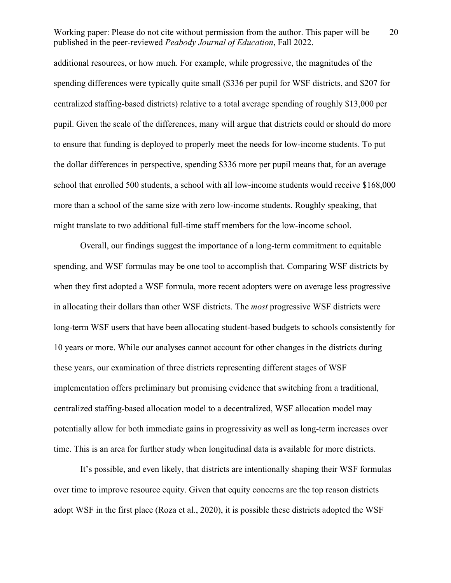additional resources, or how much. For example, while progressive, the magnitudes of the spending differences were typically quite small (\$336 per pupil for WSF districts, and \$207 for centralized staffing-based districts) relative to a total average spending of roughly \$13,000 per pupil. Given the scale of the differences, many will argue that districts could or should do more to ensure that funding is deployed to properly meet the needs for low-income students. To put the dollar differences in perspective, spending \$336 more per pupil means that, for an average school that enrolled 500 students, a school with all low-income students would receive \$168,000 more than a school of the same size with zero low-income students. Roughly speaking, that might translate to two additional full-time staff members for the low-income school.

Overall, our findings suggest the importance of a long-term commitment to equitable spending, and WSF formulas may be one tool to accomplish that. Comparing WSF districts by when they first adopted a WSF formula, more recent adopters were on average less progressive in allocating their dollars than other WSF districts. The *most* progressive WSF districts were long-term WSF users that have been allocating student-based budgets to schools consistently for 10 years or more. While our analyses cannot account for other changes in the districts during these years, our examination of three districts representing different stages of WSF implementation offers preliminary but promising evidence that switching from a traditional, centralized staffing-based allocation model to a decentralized, WSF allocation model may potentially allow for both immediate gains in progressivity as well as long-term increases over time. This is an area for further study when longitudinal data is available for more districts.

It's possible, and even likely, that districts are intentionally shaping their WSF formulas over time to improve resource equity. Given that equity concerns are the top reason districts adopt WSF in the first place (Roza et al., 2020), it is possible these districts adopted the WSF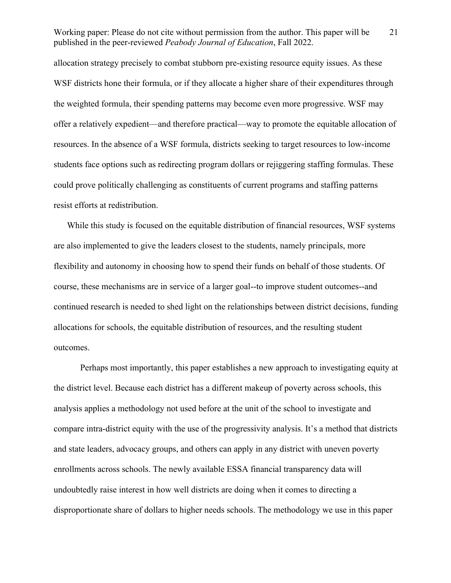allocation strategy precisely to combat stubborn pre-existing resource equity issues. As these WSF districts hone their formula, or if they allocate a higher share of their expenditures through the weighted formula, their spending patterns may become even more progressive. WSF may offer a relatively expedient—and therefore practical—way to promote the equitable allocation of resources. In the absence of a WSF formula, districts seeking to target resources to low-income students face options such as redirecting program dollars or rejiggering staffing formulas. These could prove politically challenging as constituents of current programs and staffing patterns resist efforts at redistribution.

While this study is focused on the equitable distribution of financial resources, WSF systems are also implemented to give the leaders closest to the students, namely principals, more flexibility and autonomy in choosing how to spend their funds on behalf of those students. Of course, these mechanisms are in service of a larger goal--to improve student outcomes--and continued research is needed to shed light on the relationships between district decisions, funding allocations for schools, the equitable distribution of resources, and the resulting student outcomes.

Perhaps most importantly, this paper establishes a new approach to investigating equity at the district level. Because each district has a different makeup of poverty across schools, this analysis applies a methodology not used before at the unit of the school to investigate and compare intra-district equity with the use of the progressivity analysis. It's a method that districts and state leaders, advocacy groups, and others can apply in any district with uneven poverty enrollments across schools. The newly available ESSA financial transparency data will undoubtedly raise interest in how well districts are doing when it comes to directing a disproportionate share of dollars to higher needs schools. The methodology we use in this paper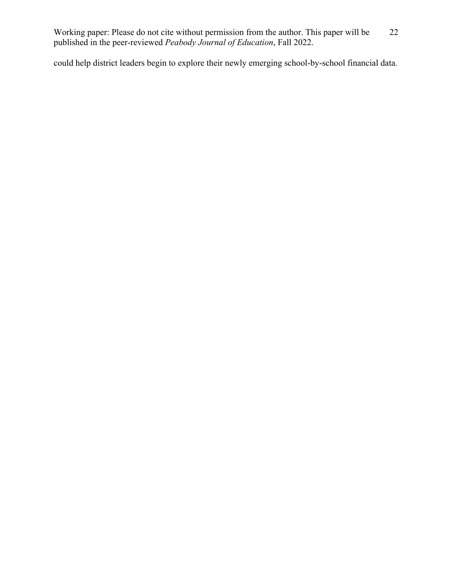could help district leaders begin to explore their newly emerging school-by-school financial data.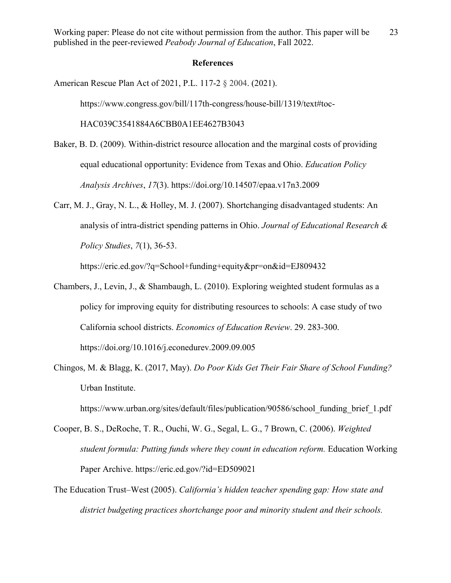### **References**

American Rescue Plan Act of 2021, P.L. 117-2 § 2004. (2021).

https://www.congress.gov/bill/117th-congress/house-bill/1319/text#toc-

HAC039C3541884A6CBB0A1EE4627B3043

- Baker, B. D. (2009). Within-district resource allocation and the marginal costs of providing equal educational opportunity: Evidence from Texas and Ohio. *Education Policy Analysis Archives*, *17*(3). https://doi.org/10.14507/epaa.v17n3.2009
- Carr, M. J., Gray, N. L., & Holley, M. J. (2007). Shortchanging disadvantaged students: An analysis of intra-district spending patterns in Ohio. *Journal of Educational Research & Policy Studies*, *7*(1), 36-53.

https://eric.ed.gov/?q=School+funding+equity&pr=on&id=EJ809432

- Chambers, J., Levin, J., & Shambaugh, L. (2010). Exploring weighted student formulas as a policy for improving equity for distributing resources to schools: A case study of two California school districts. *Economics of Education Review*. 29. 283-300. https://doi.org/10.1016/j.econedurev.2009.09.005
- Chingos, M. & Blagg, K. (2017, May). *Do Poor Kids Get Their Fair Share of School Funding?* Urban Institute.

https://www.urban.org/sites/default/files/publication/90586/school\_funding\_brief\_1.pdf

- Cooper, B. S., DeRoche, T. R., Ouchi, W. G., Segal, L. G., 7 Brown, C. (2006). *Weighted student formula: Putting funds where they count in education reform.* Education Working Paper Archive. https://eric.ed.gov/?id=ED509021
- The Education Trust–West (2005). *California's hidden teacher spending gap: How state and district budgeting practices shortchange poor and minority student and their schools.*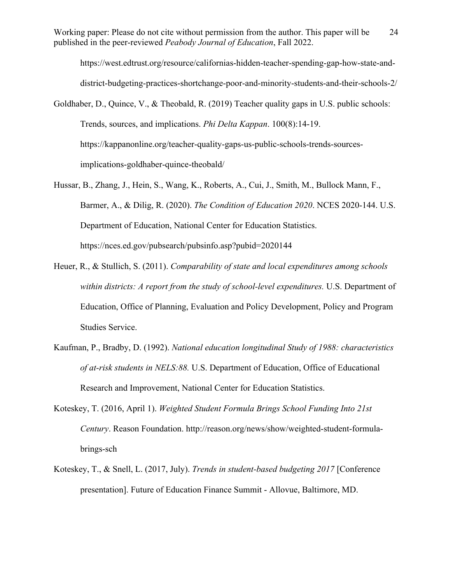https://west.edtrust.org/resource/californias-hidden-teacher-spending-gap-how-state-anddistrict-budgeting-practices-shortchange-poor-and-minority-students-and-their-schools-2/

Goldhaber, D., Quince, V., & Theobald, R. (2019) Teacher quality gaps in U.S. public schools: Trends, sources, and implications. *Phi Delta Kappan*. 100(8):14-19. https://kappanonline.org/teacher-quality-gaps-us-public-schools-trends-sourcesimplications-goldhaber-quince-theobald/

- Hussar, B., Zhang, J., Hein, S., Wang, K., Roberts, A., Cui, J., Smith, M., Bullock Mann, F., Barmer, A., & Dilig, R. (2020). *The Condition of Education 2020*. NCES 2020-144. U.S. Department of Education, National Center for Education Statistics. https://nces.ed.gov/pubsearch/pubsinfo.asp?pubid=2020144
- Heuer, R., & Stullich, S. (2011). *Comparability of state and local expenditures among schools within districts: A report from the study of school-level expenditures.* U.S. Department of Education, Office of Planning, Evaluation and Policy Development, Policy and Program Studies Service.
- Kaufman, P., Bradby, D. (1992). *National education longitudinal Study of 1988: characteristics of at-risk students in NELS:88.* U.S. Department of Education, Office of Educational Research and Improvement, National Center for Education Statistics.
- Koteskey, T. (2016, April 1). *Weighted Student Formula Brings School Funding Into 21st Century*. Reason Foundation. http://reason.org/news/show/weighted-student-formulabrings-sch
- Koteskey, T., & Snell, L. (2017, July). *Trends in student-based budgeting 2017* [Conference presentation]. Future of Education Finance Summit - Allovue, Baltimore, MD.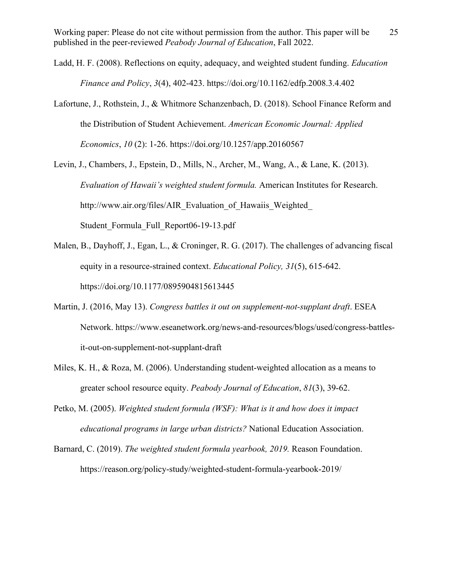- Ladd, H. F. (2008). Reflections on equity, adequacy, and weighted student funding. *Education Finance and Policy*, *3*(4), 402-423. https://doi.org/10.1162/edfp.2008.3.4.402
- Lafortune, J., Rothstein, J., & Whitmore Schanzenbach, D. (2018). School Finance Reform and the Distribution of Student Achievement. *American Economic Journal: Applied Economics*, *10* (2): 1-26. https://doi.org/10.1257/app.20160567
- Levin, J., Chambers, J., Epstein, D., Mills, N., Archer, M., Wang, A., & Lane, K. (2013). *Evaluation of Hawaii's weighted student formula.* American Institutes for Research. http://www.air.org/files/AIR\_Evaluation\_of\_Hawaiis\_Weighted\_ Student Formula Full Report06-19-13.pdf
- Malen, B., Dayhoff, J., Egan, L., & Croninger, R. G. (2017). The challenges of advancing fiscal equity in a resource-strained context. *Educational Policy, 31*(5), 615-642. https://doi.org/10.1177/0895904815613445
- Martin, J. (2016, May 13). *Congress battles it out on supplement-not-supplant draft*. ESEA Network. https://www.eseanetwork.org/news-and-resources/blogs/used/congress-battlesit-out-on-supplement-not-supplant-draft
- Miles, K. H., & Roza, M. (2006). Understanding student-weighted allocation as a means to greater school resource equity. *Peabody Journal of Education*, *81*(3), 39-62.
- Petko, M. (2005). *Weighted student formula (WSF): What is it and how does it impact educational programs in large urban districts?* National Education Association.
- Barnard, C. (2019). *The weighted student formula yearbook, 2019.* Reason Foundation. https://reason.org/policy-study/weighted-student-formula-yearbook-2019/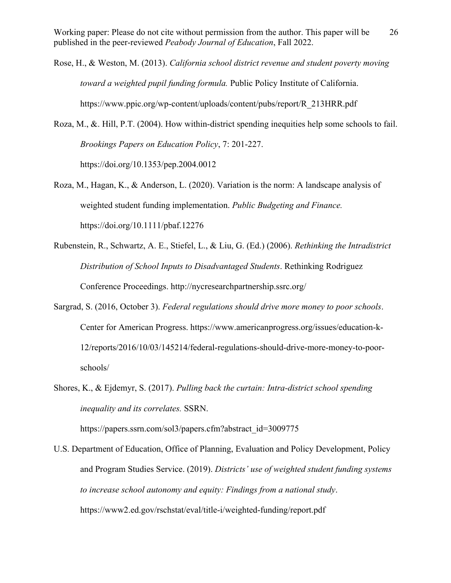Rose, H., & Weston, M. (2013). *California school district revenue and student poverty moving toward a weighted pupil funding formula.* Public Policy Institute of California. https://www.ppic.org/wp-content/uploads/content/pubs/report/R\_213HRR.pdf

Roza, M., &. Hill, P.T. (2004). How within-district spending inequities help some schools to fail. *Brookings Papers on Education Policy*, 7: 201-227. https://doi.org/10.1353/pep.2004.0012

- Roza, M., Hagan, K., & Anderson, L. (2020). Variation is the norm: A landscape analysis of weighted student funding implementation. *Public Budgeting and Finance.* https://doi.org/10.1111/pbaf.12276
- Rubenstein, R., Schwartz, A. E., Stiefel, L., & Liu, G. (Ed.) (2006). *Rethinking the Intradistrict Distribution of School Inputs to Disadvantaged Students*. Rethinking Rodriguez Conference Proceedings. http://nycresearchpartnership.ssrc.org/
- Sargrad, S. (2016, October 3). *Federal regulations should drive more money to poor schools*. Center for American Progress. https://www.americanprogress.org/issues/education-k-12/reports/2016/10/03/145214/federal-regulations-should-drive-more-money-to-poorschools/
- Shores, K., & Ejdemyr, S. (2017). *Pulling back the curtain: Intra-district school spending inequality and its correlates.* SSRN.

https://papers.ssrn.com/sol3/papers.cfm?abstract\_id=3009775

U.S. Department of Education, Office of Planning, Evaluation and Policy Development, Policy and Program Studies Service. (2019). *Districts' use of weighted student funding systems to increase school autonomy and equity: Findings from a national study*. https://www2.ed.gov/rschstat/eval/title-i/weighted-funding/report.pdf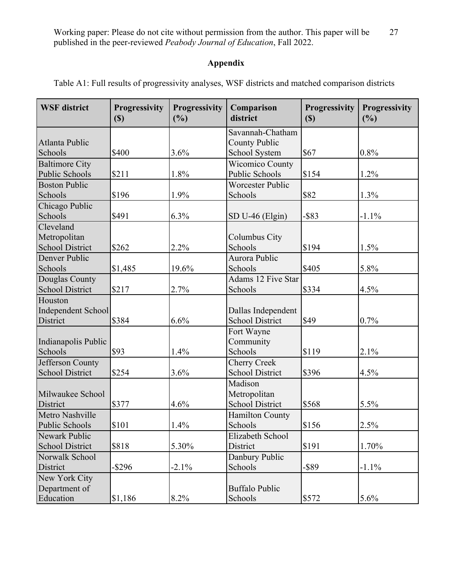# **Appendix**

| <b>WSF</b> district    | <b>Progressivity</b><br>$\left( \mathbb{S}\right)$ | <b>Progressivity</b><br>(%) | Comparison<br>district  | <b>Progressivity</b><br>$\left( \mathbb{S}\right)$ | <b>Progressivity</b><br>(%) |
|------------------------|----------------------------------------------------|-----------------------------|-------------------------|----------------------------------------------------|-----------------------------|
|                        |                                                    |                             | Savannah-Chatham        |                                                    |                             |
| Atlanta Public         |                                                    |                             | <b>County Public</b>    |                                                    |                             |
| Schools                | \$400                                              | 3.6%                        | School System           | \$67                                               | 0.8%                        |
| <b>Baltimore City</b>  |                                                    |                             | <b>Wicomico County</b>  |                                                    |                             |
| Public Schools         | \$211                                              | 1.8%                        | Public Schools          | \$154                                              | 1.2%                        |
| <b>Boston Public</b>   |                                                    |                             | <b>Worcester Public</b> |                                                    |                             |
| Schools                | \$196                                              | 1.9%                        | Schools                 | \$82                                               | 1.3%                        |
| Chicago Public         |                                                    |                             |                         |                                                    |                             |
| Schools                | \$491                                              | 6.3%                        | SD U-46 (Elgin)         | $-$ \$83                                           | $-1.1%$                     |
| Cleveland              |                                                    |                             |                         |                                                    |                             |
| Metropolitan           |                                                    |                             | Columbus City           |                                                    |                             |
| <b>School District</b> | \$262                                              | 2.2%                        | Schools                 | \$194                                              | 1.5%                        |
| Denver Public          |                                                    |                             | Aurora Public           |                                                    |                             |
| Schools                | \$1,485                                            | 19.6%                       | Schools                 | \$405                                              | 5.8%                        |
| Douglas County         |                                                    |                             | Adams 12 Five Star      |                                                    |                             |
| <b>School District</b> | \$217                                              | 2.7%                        | Schools                 | \$334                                              | 4.5%                        |
| Houston                |                                                    |                             |                         |                                                    |                             |
| Independent School     |                                                    |                             | Dallas Independent      |                                                    |                             |
| District               | \$384                                              | 6.6%                        | <b>School District</b>  | \$49                                               | 0.7%                        |
|                        |                                                    |                             | Fort Wayne              |                                                    |                             |
| Indianapolis Public    |                                                    |                             | Community               |                                                    |                             |
| Schools                | \$93                                               | 1.4%                        | Schools                 | \$119                                              | 2.1%                        |
| Jefferson County       |                                                    |                             | <b>Cherry Creek</b>     |                                                    |                             |
| <b>School District</b> | \$254                                              | 3.6%                        | <b>School District</b>  | \$396                                              | 4.5%                        |
|                        |                                                    |                             | Madison                 |                                                    |                             |
| Milwaukee School       |                                                    |                             | Metropolitan            |                                                    |                             |
| District               | \$377                                              | 4.6%                        | <b>School District</b>  | \$568                                              | 5.5%                        |
| Metro Nashville        |                                                    |                             | Hamilton County         |                                                    |                             |
| Public Schools         | \$101                                              | 1.4%                        | Schools                 | \$156                                              | 2.5%                        |
| Newark Public          |                                                    |                             | Elizabeth School        |                                                    |                             |
| <b>School District</b> | \$818                                              | 5.30%                       | District                | \$191                                              | 1.70%                       |
| Norwalk School         |                                                    |                             | Danbury Public          |                                                    |                             |
| District               | $-$ \$296                                          | $-2.1%$                     | Schools                 | $-$ \$89                                           | $-1.1%$                     |
| New York City          |                                                    |                             |                         |                                                    |                             |
| Department of          |                                                    |                             | <b>Buffalo Public</b>   |                                                    |                             |
| Education              | \$1,186                                            | 8.2%                        | Schools                 | \$572                                              | 5.6%                        |

Table A1: Full results of progressivity analyses, WSF districts and matched comparison districts